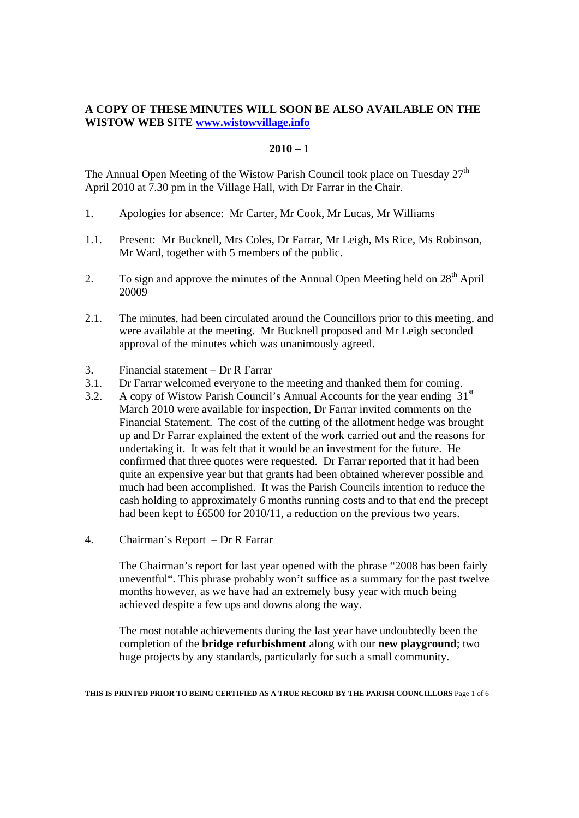# **A COPY OF THESE MINUTES WILL SOON BE ALSO AVAILABLE ON THE WISTOW WEB SITE www.wistowvillage.info**

### $2010 - 1$

The Annual Open Meeting of the Wistow Parish Council took place on Tuesday  $27<sup>th</sup>$ April 2010 at 7.30 pm in the Village Hall, with Dr Farrar in the Chair.

- 1. Apologies for absence: Mr Carter, Mr Cook, Mr Lucas, Mr Williams
- 1.1. Present: Mr Bucknell, Mrs Coles, Dr Farrar, Mr Leigh, Ms Rice, Ms Robinson, Mr Ward, together with 5 members of the public.
- 2. To sign and approve the minutes of the Annual Open Meeting held on 28<sup>th</sup> April 20009
- 2.1. The minutes, had been circulated around the Councillors prior to this meeting, and were available at the meeting. Mr Bucknell proposed and Mr Leigh seconded approval of the minutes which was unanimously agreed.
- 3. Financial statement Dr R Farrar
- 3.1. Dr Farrar welcomed everyone to the meeting and thanked them for coming.
- 3.2. A copy of Wistow Parish Council's Annual Accounts for the year ending  $31<sup>st</sup>$ March 2010 were available for inspection, Dr Farrar invited comments on the Financial Statement. The cost of the cutting of the allotment hedge was brought up and Dr Farrar explained the extent of the work carried out and the reasons for undertaking it. It was felt that it would be an investment for the future. He confirmed that three quotes were requested. Dr Farrar reported that it had been quite an expensive year but that grants had been obtained wherever possible and much had been accomplished. It was the Parish Councils intention to reduce the cash holding to approximately 6 months running costs and to that end the precept had been kept to £6500 for 2010/11, a reduction on the previous two years.
- 4. Chairman's Report Dr R Farrar

The Chairman's report for last year opened with the phrase "2008 has been fairly uneventful". This phrase probably won't suffice as a summary for the past twelve months however, as we have had an extremely busy year with much being achieved despite a few ups and downs along the way.

The most notable achievements during the last year have undoubtedly been the completion of the **bridge refurbishment** along with our **new playground**; two huge projects by any standards, particularly for such a small community.

**THIS IS PRINTED PRIOR TO BEING CERTIFIED AS A TRUE RECORD BY THE PARISH COUNCILLORS** Page 1 of 6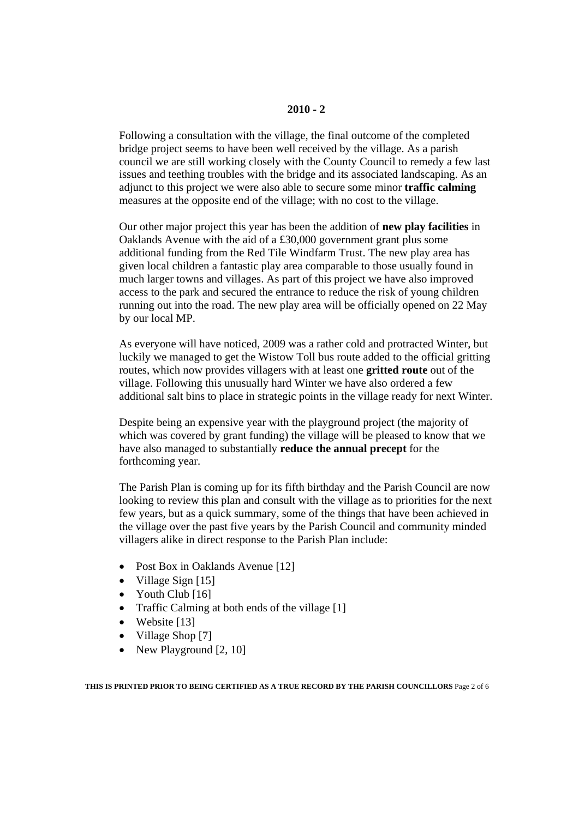Following a consultation with the village, the final outcome of the completed bridge project seems to have been well received by the village. As a parish council we are still working closely with the County Council to remedy a few last issues and teething troubles with the bridge and its associated landscaping. As an adjunct to this project we were also able to secure some minor **traffic calming** measures at the opposite end of the village; with no cost to the village.

Our other major project this year has been the addition of **new play facilities** in Oaklands Avenue with the aid of a £30,000 government grant plus some additional funding from the Red Tile Windfarm Trust. The new play area has given local children a fantastic play area comparable to those usually found in much larger towns and villages. As part of this project we have also improved access to the park and secured the entrance to reduce the risk of young children running out into the road. The new play area will be officially opened on 22 May by our local MP.

As everyone will have noticed, 2009 was a rather cold and protracted Winter, but luckily we managed to get the Wistow Toll bus route added to the official gritting routes, which now provides villagers with at least one **gritted route** out of the village. Following this unusually hard Winter we have also ordered a few additional salt bins to place in strategic points in the village ready for next Winter.

Despite being an expensive year with the playground project (the majority of which was covered by grant funding) the village will be pleased to know that we have also managed to substantially **reduce the annual precept** for the forthcoming year.

The Parish Plan is coming up for its fifth birthday and the Parish Council are now looking to review this plan and consult with the village as to priorities for the next few years, but as a quick summary, some of the things that have been achieved in the village over the past five years by the Parish Council and community minded villagers alike in direct response to the Parish Plan include:

- Post Box in Oaklands Avenue [12]
- Village Sign [15]
- Youth Club [16]
- Traffic Calming at both ends of the village [1]
- Website [13]
- Village Shop [7]
- New Playground [2, 10]

**THIS IS PRINTED PRIOR TO BEING CERTIFIED AS A TRUE RECORD BY THE PARISH COUNCILLORS** Page 2 of 6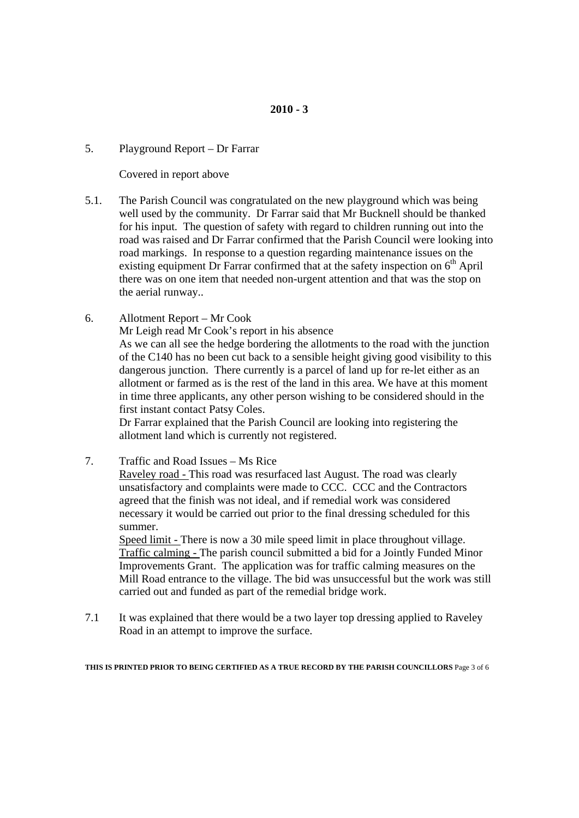# 5. Playground Report – Dr Farrar

Covered in report above

- 5.1. The Parish Council was congratulated on the new playground which was being well used by the community. Dr Farrar said that Mr Bucknell should be thanked for his input. The question of safety with regard to children running out into the road was raised and Dr Farrar confirmed that the Parish Council were looking into road markings. In response to a question regarding maintenance issues on the existing equipment Dr Farrar confirmed that at the safety inspection on  $6<sup>th</sup>$  April there was on one item that needed non-urgent attention and that was the stop on the aerial runway..
- 6. Allotment Report Mr Cook

Mr Leigh read Mr Cook's report in his absence

As we can all see the hedge bordering the allotments to the road with the junction of the C140 has no been cut back to a sensible height giving good visibility to this dangerous junction. There currently is a parcel of land up for re-let either as an allotment or farmed as is the rest of the land in this area. We have at this moment in time three applicants, any other person wishing to be considered should in the first instant contact Patsy Coles.

Dr Farrar explained that the Parish Council are looking into registering the allotment land which is currently not registered.

7. Traffic and Road Issues – Ms Rice

Raveley road - This road was resurfaced last August. The road was clearly unsatisfactory and complaints were made to CCC. CCC and the Contractors agreed that the finish was not ideal, and if remedial work was considered necessary it would be carried out prior to the final dressing scheduled for this summer.

Speed limit - There is now a 30 mile speed limit in place throughout village. Traffic calming - The parish council submitted a bid for a Jointly Funded Minor Improvements Grant. The application was for traffic calming measures on the Mill Road entrance to the village. The bid was unsuccessful but the work was still carried out and funded as part of the remedial bridge work.

7.1 It was explained that there would be a two layer top dressing applied to Raveley Road in an attempt to improve the surface.

**THIS IS PRINTED PRIOR TO BEING CERTIFIED AS A TRUE RECORD BY THE PARISH COUNCILLORS** Page 3 of 6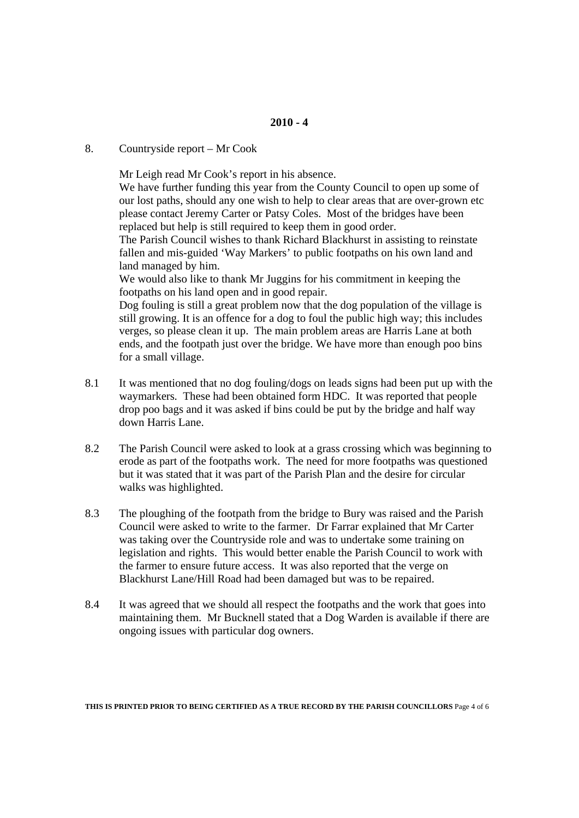# 8. Countryside report – Mr Cook

Mr Leigh read Mr Cook's report in his absence.

We have further funding this year from the County Council to open up some of our lost paths, should any one wish to help to clear areas that are over-grown etc please contact Jeremy Carter or Patsy Coles. Most of the bridges have been replaced but help is still required to keep them in good order.

The Parish Council wishes to thank Richard Blackhurst in assisting to reinstate fallen and mis-guided 'Way Markers' to public footpaths on his own land and land managed by him.

We would also like to thank Mr Juggins for his commitment in keeping the footpaths on his land open and in good repair.

Dog fouling is still a great problem now that the dog population of the village is still growing. It is an offence for a dog to foul the public high way; this includes verges, so please clean it up. The main problem areas are Harris Lane at both ends, and the footpath just over the bridge. We have more than enough poo bins for a small village.

- 8.1 It was mentioned that no dog fouling/dogs on leads signs had been put up with the waymarkers. These had been obtained form HDC. It was reported that people drop poo bags and it was asked if bins could be put by the bridge and half way down Harris Lane.
- 8.2 The Parish Council were asked to look at a grass crossing which was beginning to erode as part of the footpaths work. The need for more footpaths was questioned but it was stated that it was part of the Parish Plan and the desire for circular walks was highlighted.
- 8.3 The ploughing of the footpath from the bridge to Bury was raised and the Parish Council were asked to write to the farmer. Dr Farrar explained that Mr Carter was taking over the Countryside role and was to undertake some training on legislation and rights. This would better enable the Parish Council to work with the farmer to ensure future access. It was also reported that the verge on Blackhurst Lane/Hill Road had been damaged but was to be repaired.
- 8.4 It was agreed that we should all respect the footpaths and the work that goes into maintaining them. Mr Bucknell stated that a Dog Warden is available if there are ongoing issues with particular dog owners.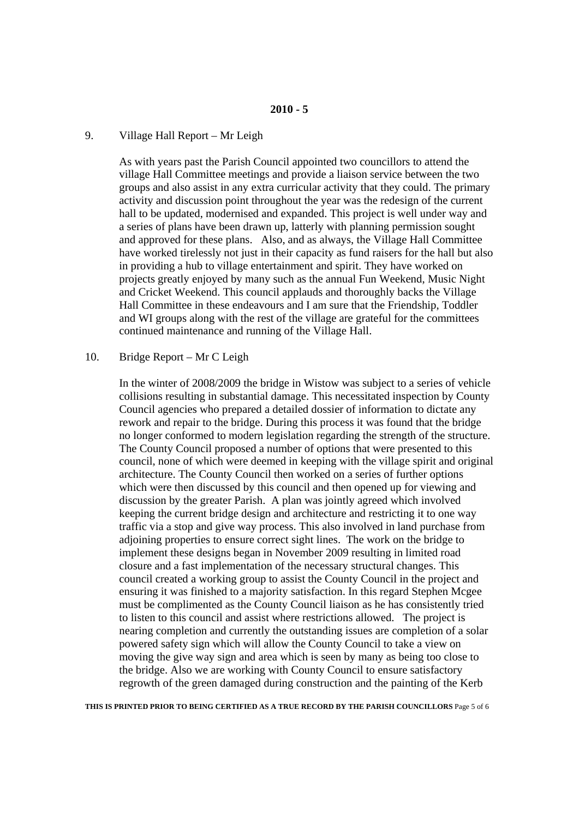# 9. Village Hall Report – Mr Leigh

As with years past the Parish Council appointed two councillors to attend the village Hall Committee meetings and provide a liaison service between the two groups and also assist in any extra curricular activity that they could. The primary activity and discussion point throughout the year was the redesign of the current hall to be updated, modernised and expanded. This project is well under way and a series of plans have been drawn up, latterly with planning permission sought and approved for these plans. Also, and as always, the Village Hall Committee have worked tirelessly not just in their capacity as fund raisers for the hall but also in providing a hub to village entertainment and spirit. They have worked on projects greatly enjoyed by many such as the annual Fun Weekend, Music Night and Cricket Weekend. This council applauds and thoroughly backs the Village Hall Committee in these endeavours and I am sure that the Friendship, Toddler and WI groups along with the rest of the village are grateful for the committees continued maintenance and running of the Village Hall.

#### 10. Bridge Report – Mr C Leigh

In the winter of 2008/2009 the bridge in Wistow was subject to a series of vehicle collisions resulting in substantial damage. This necessitated inspection by County Council agencies who prepared a detailed dossier of information to dictate any rework and repair to the bridge. During this process it was found that the bridge no longer conformed to modern legislation regarding the strength of the structure. The County Council proposed a number of options that were presented to this council, none of which were deemed in keeping with the village spirit and original architecture. The County Council then worked on a series of further options which were then discussed by this council and then opened up for viewing and discussion by the greater Parish. A plan was jointly agreed which involved keeping the current bridge design and architecture and restricting it to one way traffic via a stop and give way process. This also involved in land purchase from adjoining properties to ensure correct sight lines. The work on the bridge to implement these designs began in November 2009 resulting in limited road closure and a fast implementation of the necessary structural changes. This council created a working group to assist the County Council in the project and ensuring it was finished to a majority satisfaction. In this regard Stephen Mcgee must be complimented as the County Council liaison as he has consistently tried to listen to this council and assist where restrictions allowed. The project is nearing completion and currently the outstanding issues are completion of a solar powered safety sign which will allow the County Council to take a view on moving the give way sign and area which is seen by many as being too close to the bridge. Also we are working with County Council to ensure satisfactory regrowth of the green damaged during construction and the painting of the Kerb

**THIS IS PRINTED PRIOR TO BEING CERTIFIED AS A TRUE RECORD BY THE PARISH COUNCILLORS** Page 5 of 6